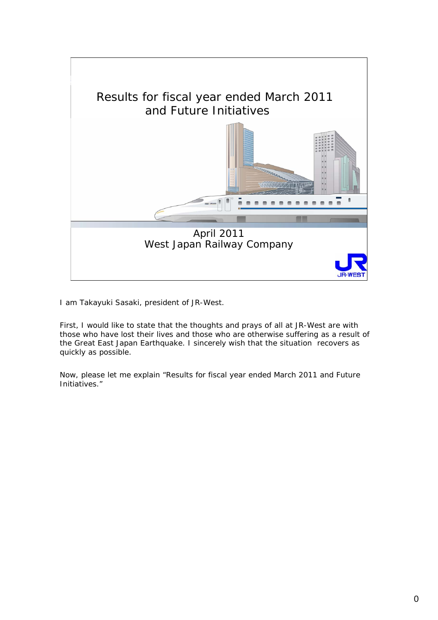

I am Takayuki Sasaki, president of JR-West.

First, I would like to state that the thoughts and prays of all at JR-West are with those who have lost their lives and those who are otherwise suffering as a result of the Great East Japan Earthquake. I sincerely wish that the situation recovers as quickly as possible.

Now, please let me explain "Results for fiscal year ended March 2011 and Future Initiatives."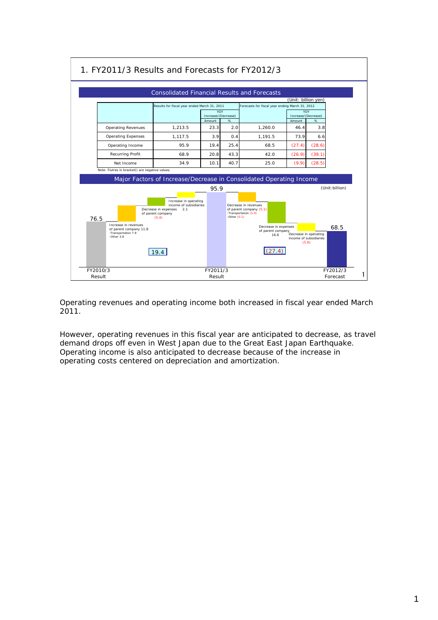

Operating revenues and operating income both increased in fiscal year ended March 2011.

However, operating revenues in this fiscal year are anticipated to decrease, as travel demand drops off even in West Japan due to the Great East Japan Earthquake. Operating income is also anticipated to decrease because of the increase in operating costs centered on depreciation and amortization.

## 1. FY2011/3 Results and Forecasts for FY2012/3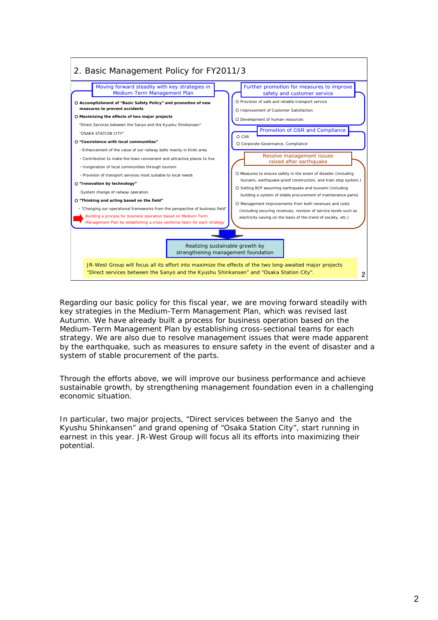

Regarding our basic policy for this fiscal year, we are moving forward steadily with key strategies in the Medium-Term Management Plan, which was revised last Autumn. We have already built a process for business operation based on the Medium-Term Management Plan by establishing cross-sectional teams for each strategy. We are also due to resolve management issues that were made apparent by the earthquake, such as measures to ensure safety in the event of disaster and a system of stable procurement of the parts.

Through the efforts above, we will improve our business performance and achieve sustainable growth, by strengthening management foundation even in a challenging economic situation.

In particular, two major projects, "Direct services between the Sanyo and the Kyushu Shinkansen" and grand opening of "Osaka Station City", start running in earnest in this year. JR-West Group will focus all its efforts into maximizing their potential.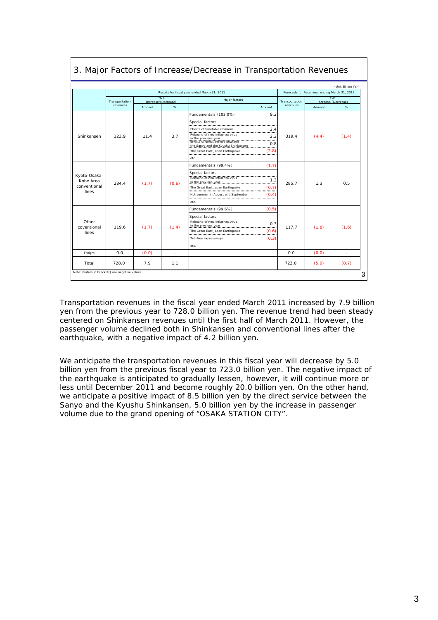|                                           |                |                                   |       | Results for fiscal year ended March 31, 2011                                         |                               |                | (Unit: Billion Yen)<br>Forecasts for fiscal year ending March 31, 2012 |       |  |
|-------------------------------------------|----------------|-----------------------------------|-------|--------------------------------------------------------------------------------------|-------------------------------|----------------|------------------------------------------------------------------------|-------|--|
|                                           | Transportation | <b>YOY</b><br>Increase/(Decrease) |       | Major factors                                                                        |                               | Transportation | <b>YOY</b><br>Increase/(Decrease)                                      |       |  |
|                                           | revenues       | Amount                            | %     |                                                                                      | Amount                        | revenues       | Amount                                                                 | %     |  |
|                                           |                |                                   |       | Fundamentals (103.0%)                                                                | 9.2                           |                |                                                                        |       |  |
|                                           |                | 11.4                              |       | Special factors<br>Effects of timetable revisions                                    | <br>2.4                       |                |                                                                        |       |  |
| Shinkansen                                | 323.9          |                                   | 3.7   | Rebound of new influenza virus                                                       | 2.2                           | 319.4          | (4.4)                                                                  | (1.4) |  |
|                                           |                |                                   |       | Effects of direct service bewteen<br>the.Sanyo.and.the.Kyushu.Shinkansen             | 0.8<br>,,,,,,,,,,,,,,,,,,,,,, |                |                                                                        |       |  |
|                                           |                |                                   |       | The Great East Japan Earthquake                                                      | (2.8)                         |                |                                                                        |       |  |
|                                           |                |                                   |       | etc.                                                                                 |                               |                |                                                                        |       |  |
|                                           |                |                                   |       | Fundamentals (99.4%)                                                                 | (1.7)                         |                | 1.3                                                                    | 0.5   |  |
| Kyoto-Osaka-<br>Kobe Area<br>conventional | 284.4          | (1.7)                             | (0.6) | Special factors<br>Rebound of new influenza virus<br>The Great East Japan Earthquake | 1.3<br><br>(0.7)              | 285.7          |                                                                        |       |  |
| lines                                     |                |                                   |       | Hot summer in August and September<br>etc.                                           | (0.4)                         |                |                                                                        |       |  |
|                                           |                |                                   |       | Fundamentals (99.6%)                                                                 | (0.5)                         |                | (1.8)                                                                  |       |  |
| Other<br>coventional<br>lines             | 119.6          | (1.7)                             | (1.4) | Special factors                                                                      |                               |                |                                                                        | (1.6) |  |
|                                           |                |                                   |       | Rebound of new influenza virus<br>in the previous year                               | 0.3                           | 117.7          |                                                                        |       |  |
|                                           |                |                                   |       | The Great East Japan Earthquake                                                      | (0.6)                         |                |                                                                        |       |  |
|                                           |                |                                   |       | Toll-free expressways<br>etc.                                                        | (0.3)<br>                     |                |                                                                        |       |  |
| Freight                                   | 0.0            | (0.0)                             |       |                                                                                      |                               | 0.0            | (0.0)                                                                  | ٠     |  |
| Total                                     | 728.0          | 7.9                               | 1.1   |                                                                                      |                               | 723.0          | (5.0)                                                                  | (0.7) |  |

## 3. Major Factors of Increase/Decrease in Transportation Revenues

Transportation revenues in the fiscal year ended March 2011 increased by 7.9 billion yen from the previous year to 728.0 billion yen. The revenue trend had been steady centered on Shinkansen revenues until the first half of March 2011. However, the passenger volume declined both in Shinkansen and conventional lines after the earthquake, with a negative impact of 4.2 billion yen.

We anticipate the transportation revenues in this fiscal year will decrease by 5.0 billion yen from the previous fiscal year to 723.0 billion yen. The negative impact of the earthquake is anticipated to gradually lessen, however, it will continue more or less until December 2011 and become roughly 20.0 billion yen. On the other hand, we anticipate a positive impact of 8.5 billion yen by the direct service between the Sanyo and the Kyushu Shinkansen, 5.0 billion yen by the increase in passenger volume due to the grand opening of "OSAKA STATION CITY".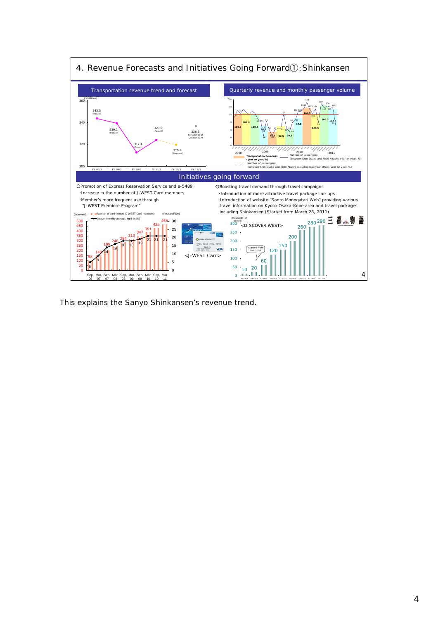

This explains the Sanyo Shinkansen's revenue trend.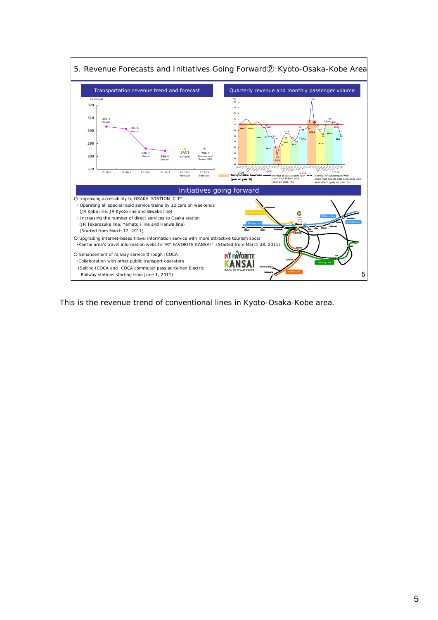

5. Revenue Forecasts and Initiatives Going Forward②:Kyoto-Osaka-Kobe Area

This is the revenue trend of conventional lines in Kyoto-Osaka-Kobe area.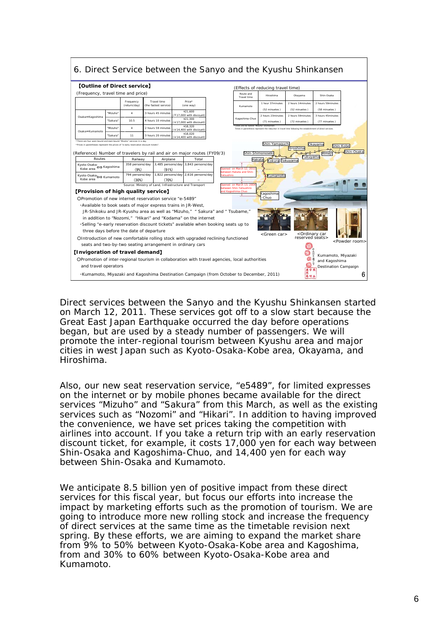

Direct services between the Sanyo and the Kyushu Shinkansen started on March 12, 2011. These services got off to a slow start because the Great East Japan Earthquake occurred the day before operations began, but are used by a steady number of passengers. We will promote the inter-regional tourism between Kyushu area and major cities in west Japan such as Kyoto-Osaka-Kobe area, Okayama, and Hiroshima.

Also, our new seat reservation service, "e5489", for limited expresses on the internet or by mobile phones became available for the direct services "Mizuho" and "Sakura" from this March, as well as the existing services such as "Nozomi" and "Hikari". In addition to having improved the convenience, we have set prices taking the competition with airlines into account. If you take a return trip with an early reservation discount ticket, for example, it costs 17,000 yen for each way between Shin-Osaka and Kagoshima-Chuo, and 14,400 yen for each way between Shin-Osaka and Kumamoto.

We anticipate 8.5 billion yen of positive impact from these direct services for this fiscal year, but focus our efforts into increase the impact by marketing efforts such as the promotion of tourism. We are going to introduce more new rolling stock and increase the frequency of direct services at the same time as the timetable revision next spring. By these efforts, we are aiming to expand the market share from 9% to 50% between Kyoto-Osaka-Kobe area and Kagoshima, from and 30% to 60% between Kyoto-Osaka-Kobe area and Kumamoto.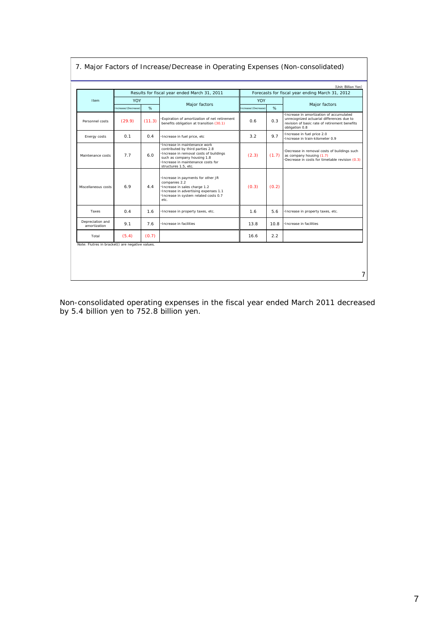|                                                 |                     | Results for fiscal year ended March 31, 2011 | Forecasts for fiscal year ending March 31, 2012                                                                                                                                                        |                    |       |                                                                                                                                                         |  |
|-------------------------------------------------|---------------------|----------------------------------------------|--------------------------------------------------------------------------------------------------------------------------------------------------------------------------------------------------------|--------------------|-------|---------------------------------------------------------------------------------------------------------------------------------------------------------|--|
| Item                                            | <b>YOY</b>          |                                              | Major factors                                                                                                                                                                                          | YOY                |       | Major factors                                                                                                                                           |  |
|                                                 | Increase/(Decrease) | %                                            |                                                                                                                                                                                                        | ncrease/(Decrease) | %     |                                                                                                                                                         |  |
| Personnel costs                                 | (29.9)              | (11.3)                                       | Expiration of amortization of net retirement<br>benefits obligation at transition (30.1)                                                                                                               | 0.6                | 0.3   | Increase in amortization of accumulated<br>unrecognized actuarial differences due to<br>revision of basic rate of retirement benefits<br>obligation 0.8 |  |
| Energy costs                                    | 0.1                 | 0.4                                          | ·Increase in fuel price, etc                                                                                                                                                                           | 3.2                | 9.7   | Increase in fuel price 2.0<br>Increase in train-kilometer 0.9                                                                                           |  |
| Maintenance costs                               | 7.7                 | 6.0                                          | Increase in maintenance work<br>contributed by third parties 2.8<br>Increase in removal costs of buildings<br>such as company housing 1.8<br>Increase in maintenance costs for<br>structures 1.5, etc. | (2.3)              | (1.7) | Decrease in removal costs of buildings such<br>as company housing (1.7)<br>Decrease in costs for timetable revision (0.3)                               |  |
| Miscellaneous costs                             | 6.9                 | 4.4                                          | Increase in payments for other JR<br>companies 2.2<br>·Increase in sales charge 1.2<br>Increase in advertising expenses 1.1<br>Increase in system related costs 0.7<br>etc.                            | (0.3)              | (0.2) |                                                                                                                                                         |  |
| Taxes                                           | 0.4                 | 1.6                                          | Increase in property taxes, etc.                                                                                                                                                                       | 1.6                | 5.6   | Increase in property taxes, etc.                                                                                                                        |  |
| Depreciation and<br>amortization                | 9.1                 | 7.6                                          | Increase in facilities                                                                                                                                                                                 | 13.8               | 10.8  | Increase in facilities                                                                                                                                  |  |
| Total                                           | (5.4)               | (0.7)                                        |                                                                                                                                                                                                        | 16.6               | 2.2   |                                                                                                                                                         |  |
| Note: Fiutres in bracket() are negative values. |                     |                                              |                                                                                                                                                                                                        |                    |       |                                                                                                                                                         |  |
|                                                 |                     |                                              |                                                                                                                                                                                                        |                    |       |                                                                                                                                                         |  |

7. Major Factors of Increase/Decrease in Operating Expenses (Non-consolidated)

Non-consolidated operating expenses in the fiscal year ended March 2011 decreased by 5.4 billion yen to 752.8 billion yen.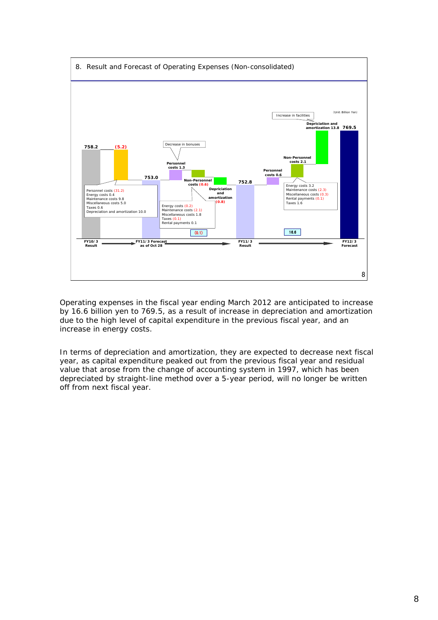

Operating expenses in the fiscal year ending March 2012 are anticipated to increase by 16.6 billion yen to 769.5, as a result of increase in depreciation and amortization due to the high level of capital expenditure in the previous fiscal year, and an increase in energy costs.

In terms of depreciation and amortization, they are expected to decrease next fiscal year, as capital expenditure peaked out from the previous fiscal year and residual value that arose from the change of accounting system in 1997, which has been depreciated by straight-line method over a 5-year period, will no longer be written off from next fiscal year.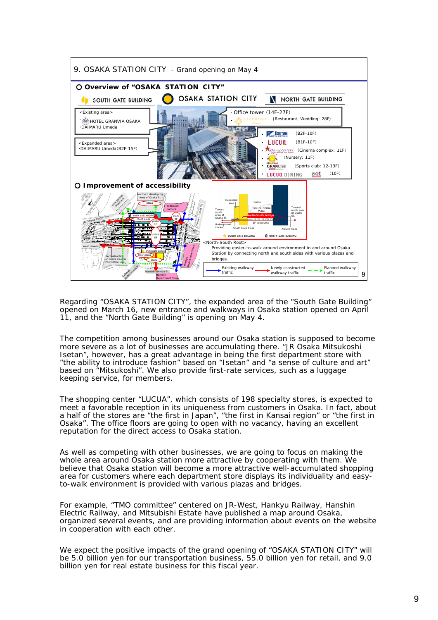

Regarding "OSAKA STATION CITY", the expanded area of the "South Gate Building" opened on March 16, new entrance and walkways in Osaka station opened on April 11, and the "North Gate Building" is opening on May 4.

The competition among businesses around our Osaka station is supposed to become more severe as a lot of businesses are accumulating there. "JR Osaka Mitsukoshi Isetan", however, has a great advantage in being the first department store with "the ability to introduce fashion" based on "Isetan" and "a sense of culture and art" based on "Mitsukoshi". We also provide first-rate services, such as a luggage keeping service, for members.

The shopping center "LUCUA", which consists of 198 specialty stores, is expected to meet a favorable reception in its uniqueness from customers in Osaka. In fact, about a half of the stores are "the first in Japan", "the first in Kansai region" or "the first in Osaka". The office floors are going to open with no vacancy, having an excellent reputation for the direct access to Osaka station.

As well as competing with other businesses, we are going to focus on making the whole area around Osaka station more attractive by cooperating with them. We believe that Osaka station will become a more attractive well-accumulated shopping area for customers where each department store displays its individuality and easyto-walk environment is provided with various plazas and bridges.

For example, "TMO committee" centered on JR-West, Hankyu Railway, Hanshin Electric Railway, and Mitsubishi Estate have published a map around Osaka, organized several events, and are providing information about events on the website in cooperation with each other.

We expect the positive impacts of the grand opening of "OSAKA STATION CITY" will be 5.0 billion yen for our transportation business, 55.0 billion yen for retail, and 9.0 billion yen for real estate business for this fiscal year.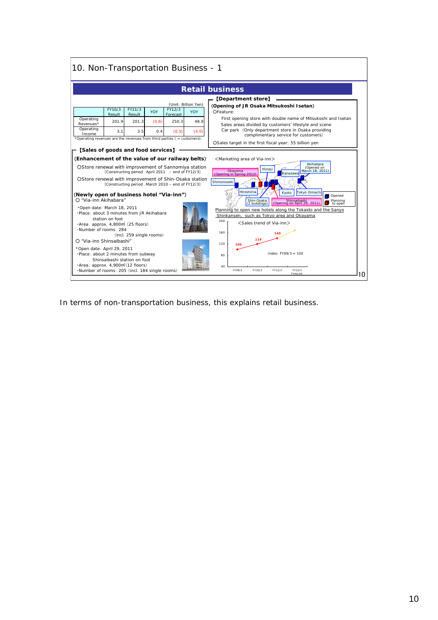|                                                                            | 10. Non-Transportation Business - 1                                                                                                                                                                                                                                                                                |                                                                    |                                                    |                                                                                                                                                                                                                                                                                                                                                                             |  |  |  |  |
|----------------------------------------------------------------------------|--------------------------------------------------------------------------------------------------------------------------------------------------------------------------------------------------------------------------------------------------------------------------------------------------------------------|--------------------------------------------------------------------|----------------------------------------------------|-----------------------------------------------------------------------------------------------------------------------------------------------------------------------------------------------------------------------------------------------------------------------------------------------------------------------------------------------------------------------------|--|--|--|--|
| <b>Retail business</b>                                                     |                                                                                                                                                                                                                                                                                                                    |                                                                    |                                                    |                                                                                                                                                                                                                                                                                                                                                                             |  |  |  |  |
| Operating<br>Revenues*<br>Operating<br>Income                              | FY10/3<br>FY11/3<br>Result<br>Result<br>201.9<br>201.3<br>3.1<br>3.5<br>*Operating revenues are the revenues from third parties ( = customers).                                                                                                                                                                    | FY12/3<br><b>YOY</b><br>Forecast<br>250.3<br>(0.6)<br>(0.5)<br>0.4 | (Unit: Billion Yen)<br><b>YOY</b><br>48.9<br>(4.0) | <b>Department store</b><br>(Opening of JR Osaka Mitsukoshi Isetan)<br>OFeature:<br>First opening store with double name of Mitsukoshi and Isetan<br>Sales areas divided by customers' lifestyle and scene<br>Car park (Only department store in Osaka providing<br>complimentary service for customers)<br>OSales target in the first fiscal year: 55 billion yen           |  |  |  |  |
|                                                                            | [Sales of goods and food services]<br>(Enhancement of the value of our railway belts)<br>OStore renewal with improvement of Sannomiya station<br>[Constructing period : April 2011 – end of FY12/3]<br>OStore renewal with improvement of Shin-Osaka station<br>[Constructing period : March 2010 - end of FY12/3] |                                                                    |                                                    | <marketing area="" of="" via-inn=""><br/>Akihabara<br/>(Opened on<br/>Himeji<br/>March 18, 2011)<br/>Okayama<br/>Kanazawa<br/>(Opening in Spring 2012)<br/>Shimonoseki<br/>Hiroshima</marketing>                                                                                                                                                                            |  |  |  |  |
| O "Via-inn Akihabara"<br>.Number of rooms: 284<br>O "Via-inn Shinsaibashi" | (Newly open of business hotel "Via-inn")<br>Open date: March 18, 2011<br>. Place: about 3 minutes from JR Akihabara<br>station on foot<br>·Area: approx. 4,800m (25 floors)<br>(incl. 259 single rooms)                                                                                                            |                                                                    |                                                    | Tokyo Oimachi<br>Kyoto<br>Opened<br>Shin-Osaka<br>Shinsaibashi<br>(Opening on April 29, 2011)<br>Planning<br>to open<br>(2 buildings)<br>Planning to open new hotels along the Tokaido and the Sanyo<br>Shinkansen, such as Tokyo area and Okayama<br>200<br><sales of="" trend="" via-inn=""><br/><math display="block">140</math><br/>160<br/>119<br/>120<br/>100</sales> |  |  |  |  |
|                                                                            | "Open date: April 29, 2011<br>·Place: about 2 minutes from subway<br>Shinsaibashi station on foot<br>·Area: approx. 4,900m <sup>2</sup> (12 floors)<br>·Number of rooms: 205 (incl. 184 single rooms)                                                                                                              |                                                                    |                                                    | $Index: FY09/3 = 100$<br>80<br>40<br>FY09/3<br>FY12/3<br>FY10/3<br>FY11/3<br>Forecas                                                                                                                                                                                                                                                                                        |  |  |  |  |

In terms of non-transportation business, this explains retail business.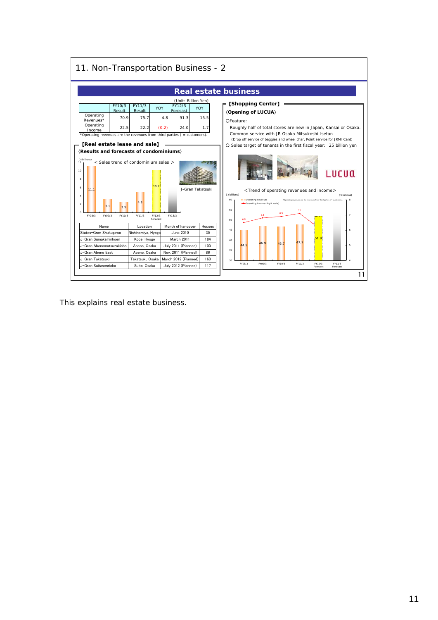

This explains real estate business.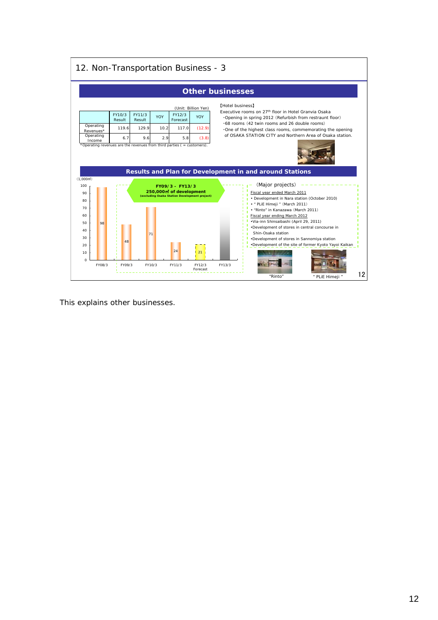| 12. Non-Transportation Business - 3                      |                                  |                                                                                                                    |                                                   |                                                      |                         |                                                                                                                                                                                                                                                                                                |                                                        |    |
|----------------------------------------------------------|----------------------------------|--------------------------------------------------------------------------------------------------------------------|---------------------------------------------------|------------------------------------------------------|-------------------------|------------------------------------------------------------------------------------------------------------------------------------------------------------------------------------------------------------------------------------------------------------------------------------------------|--------------------------------------------------------|----|
|                                                          |                                  |                                                                                                                    |                                                   | <b>Other businesses</b>                              |                         |                                                                                                                                                                                                                                                                                                |                                                        |    |
| Operating<br>Revenues*<br>Operating<br>Income            | FY10/3<br>Result<br>119.6<br>6.7 | FY11/3<br>YOY<br>Result<br>129.9<br>9.6<br>*Operating revenues are the revenues from third parties ( = customers). | FY12/3<br>Forecast<br>10.2<br>117.0<br>2.9<br>5.8 | (Unit: Billion Yen)<br><b>YOY</b><br>(12.9)<br>(3.8) | <b>[Hotel business]</b> | Executive rooms on 27th floor in Hotel Granvia Osaka<br>. Opening in spring 2012 (Refurbish from restraunt floor)<br>.68 rooms (42 twin rooms and 26 double rooms)<br>. One of the highest class rooms, commemorating the opening<br>of OSAKA STATION CITY and Northern Area of Osaka station. |                                                        |    |
| (1.000 <sup>m</sup> )<br>100<br>90<br>80                 |                                  |                                                                                                                    | FY09/3 - FY13/3<br>250,000m of development        | (excluding Osaka Station Development project)        |                         | Results and Plan for Development in and around Stations<br>(Major projects)<br>Fiscal year ended March 2011<br>• Development in Nara station (October 2010)                                                                                                                                    |                                                        |    |
| 70<br>60<br>50<br>98<br>40<br>30<br>20<br>10<br>$\Omega$ | 48                               | 71                                                                                                                 | 24                                                | 21                                                   |                         | · * PLIE Himeji " (March 2011)<br>· "Rinto" in Kanazawa (March 2011)<br>Fiscal year ending March 2012<br>·Via-inn Shinsaibashi (April 29, 2011)<br>·Development of stores in central concourse in<br>Shin-Osaka station<br>•Development of stores in Sannomiya station                         | . Development of the site of former Kyoto Yayoi Kaikan |    |
| FY08/3                                                   | FY09/3                           | FY10/3                                                                                                             | FY11/3                                            | FY12/3<br>Forecast                                   | FY13/3                  | "Rinto"                                                                                                                                                                                                                                                                                        | PLIE Himeii <sup>*</sup>                               | 12 |

This explains other businesses.

 $\overline{1}$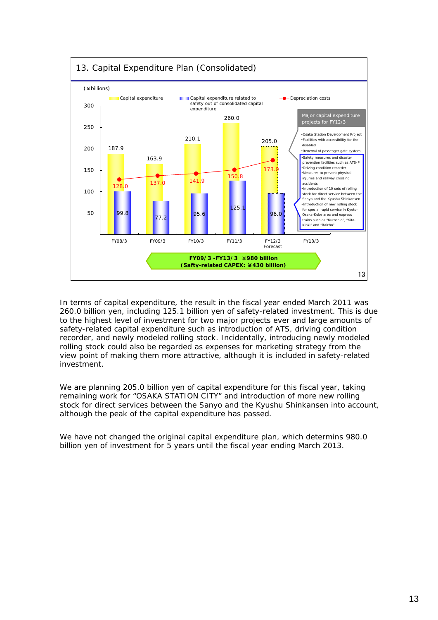

In terms of capital expenditure, the result in the fiscal year ended March 2011 was 260.0 billion yen, including 125.1 billion yen of safety-related investment. This is due to the highest level of investment for two major projects ever and large amounts of safety-related capital expenditure such as introduction of ATS, driving condition recorder, and newly modeled rolling stock. Incidentally, introducing newly modeled rolling stock could also be regarded as expenses for marketing strategy from the view point of making them more attractive, although it is included in safety-related investment.

We are planning 205.0 billion yen of capital expenditure for this fiscal year, taking remaining work for "OSAKA STATION CITY" and introduction of more new rolling stock for direct services between the Sanyo and the Kyushu Shinkansen into account, although the peak of the capital expenditure has passed.

We have not changed the original capital expenditure plan, which determins 980.0 billion yen of investment for 5 years until the fiscal year ending March 2013.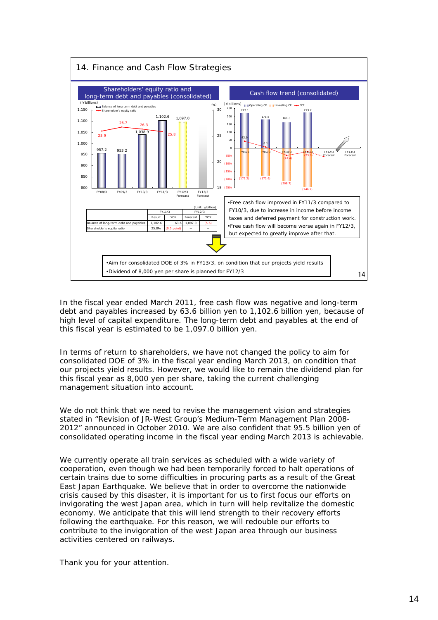

In the fiscal year ended March 2011, free cash flow was negative and long-term debt and payables increased by 63.6 billion yen to 1,102.6 billion yen, because of high level of capital expenditure. The long-term debt and payables at the end of this fiscal year is estimated to be 1,097.0 billion yen.

In terms of return to shareholders, we have not changed the policy to aim for consolidated DOE of 3% in the fiscal year ending March 2013, on condition that our projects yield results. However, we would like to remain the dividend plan for this fiscal year as 8,000 yen per share, taking the current challenging management situation into account.

We do not think that we need to revise the management vision and strategies stated in "Revision of JR-West Group's Medium-Term Management Plan 2008- 2012" announced in October 2010. We are also confident that 95.5 billion yen of consolidated operating income in the fiscal year ending March 2013 is achievable.

We currently operate all train services as scheduled with a wide variety of cooperation, even though we had been temporarily forced to halt operations of certain trains due to some difficulties in procuring parts as a result of the Great East Japan Earthquake. We believe that in order to overcome the nationwide crisis caused by this disaster, it is important for us to first focus our efforts on invigorating the west Japan area, which in turn will help revitalize the domestic economy. We anticipate that this will lend strength to their recovery efforts following the earthquake. For this reason, we will redouble our efforts to contribute to the invigoration of the west Japan area through our business activities centered on railways.

Thank you for your attention.